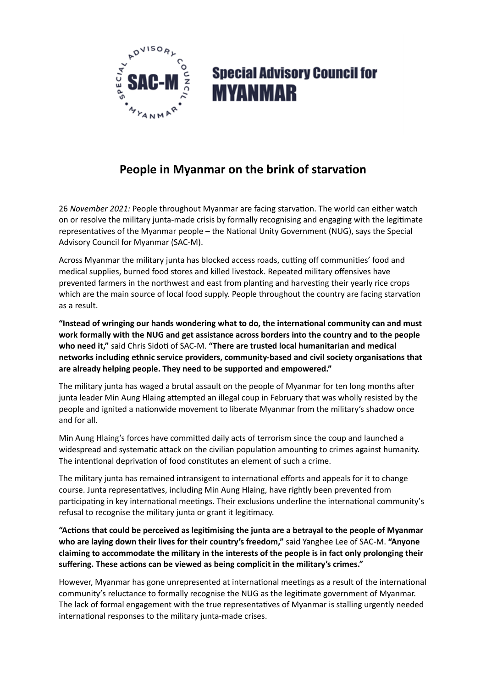

## **Special Advisory Council for MYANMAR**

## **People in Myanmar on the brink of starvation**

26 *November 2021:* People throughout Myanmar are facing starvation. The world can either watch on or resolve the military junta-made crisis by formally recognising and engaging with the legitimate representatives of the Myanmar people – the National Unity Government (NUG), says the Special Advisory Council for Myanmar (SAC-M).

Across Myanmar the military junta has blocked access roads, cutting off communities' food and medical supplies, burned food stores and killed livestock. Repeated military offensives have prevented farmers in the northwest and east from planting and harvesting their yearly rice crops which are the main source of local food supply. People throughout the country are facing starvation as a result.

**"Instead of wringing our hands wondering what to do, the international community can and must work formally with the NUG and get assistance across borders into the country and to the people who need it,"** said Chris Sidoti of SAC-M. **"There are trusted local humanitarian and medical networks including ethnic service providers, community-based and civil society organisations that are already helping people. They need to be supported and empowered."**

The military junta has waged a brutal assault on the people of Myanmar for ten long months after junta leader Min Aung Hlaing attempted an illegal coup in February that was wholly resisted by the people and ignited a nationwide movement to liberate Myanmar from the military's shadow once and for all.

Min Aung Hlaing's forces have committed daily acts of terrorism since the coup and launched a widespread and systematic attack on the civilian population amounting to crimes against humanity. The intentional deprivation of food constitutes an element of such a crime.

The military junta has remained intransigent to international efforts and appeals for it to change course. Junta representatives, including Min Aung Hlaing, have rightly been prevented from participating in key international meetings. Their exclusions underline the international community's refusal to recognise the military junta or grant it legitimacy.

**"Actions that could be perceived as legitimising the junta are a betrayal to the people of Myanmar who are laying down their lives for their country's freedom,"** said Yanghee Lee of SAC-M. **"Anyone claiming to accommodate the military in the interests of the people is in fact only prolonging their suffering. These actions can be viewed as being complicit in the military's crimes."**

However, Myanmar has gone unrepresented at international meetings as a result of the international community's reluctance to formally recognise the NUG as the legitimate government of Myanmar. The lack of formal engagement with the true representatives of Myanmar is stalling urgently needed international responses to the military junta-made crises.